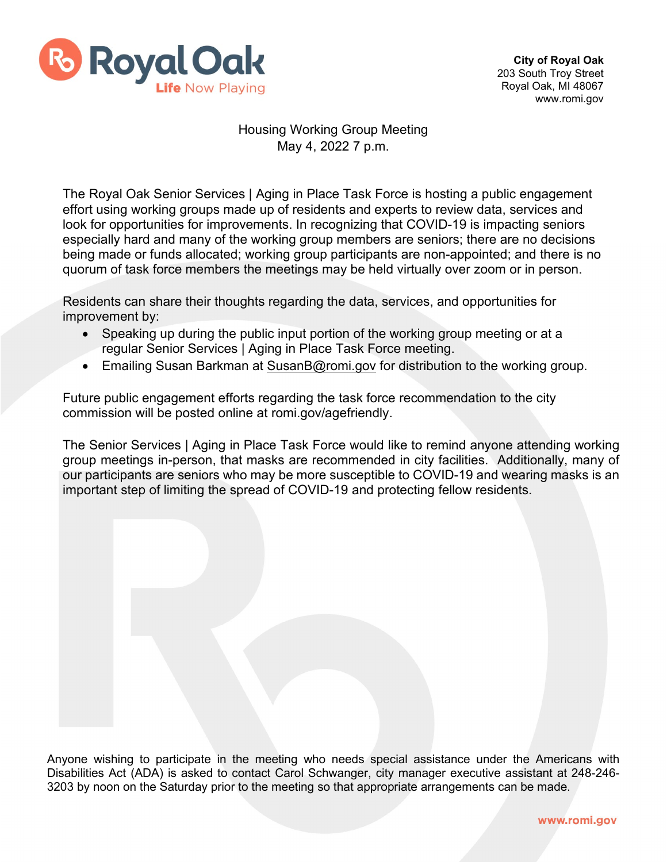

## Housing Working Group Meeting May 4, 2022 7 p.m.

The Royal Oak Senior Services | Aging in Place Task Force is hosting a public engagement effort using working groups made up of residents and experts to review data, services and look for opportunities for improvements. In recognizing that COVID-19 is impacting seniors especially hard and many of the working group members are seniors; there are no decisions being made or funds allocated; working group participants are non-appointed; and there is no quorum of task force members the meetings may be held virtually over zoom or in person.

Residents can share their thoughts regarding the data, services, and opportunities for improvement by:

- Speaking up during the public input portion of the working group meeting or at a regular Senior Services | Aging in Place Task Force meeting.
- Emailing Susan Barkman at [SusanB@romi.gov](mailto:SusanB@romi.gov) for distribution to the working group.

Future public engagement efforts regarding the task force recommendation to the city commission will be posted online at romi.gov/agefriendly.

The Senior Services | Aging in Place Task Force would like to remind anyone attending working group meetings in-person, that masks are recommended in city facilities. Additionally, many of our participants are seniors who may be more susceptible to COVID-19 and wearing masks is an important step of limiting the spread of COVID-19 and protecting fellow residents.

Anyone wishing to participate in the meeting who needs special assistance under the Americans with Disabilities Act (ADA) is asked to contact Carol Schwanger, city manager executive assistant at 248-246- 3203 by noon on the Saturday prior to the meeting so that appropriate arrangements can be made.